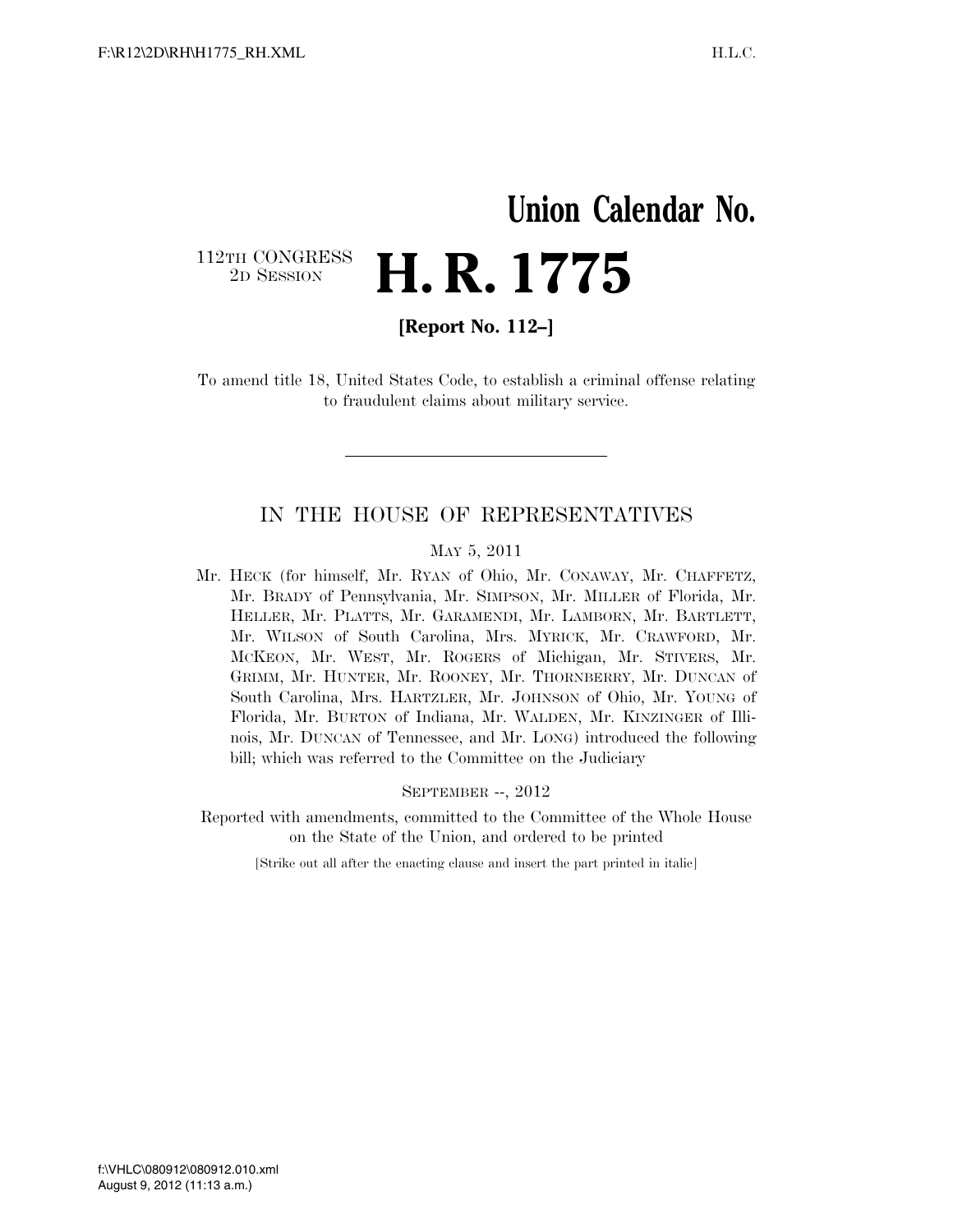## **Union Calendar No.**  112TH CONGRESS<br>2D SESSION 2D SESSION **H. R. 1775**

**[Report No. 112–]** 

To amend title 18, United States Code, to establish a criminal offense relating to fraudulent claims about military service.

## IN THE HOUSE OF REPRESENTATIVES

## MAY 5, 2011

Mr. HECK (for himself, Mr. RYAN of Ohio, Mr. CONAWAY, Mr. CHAFFETZ, Mr. BRADY of Pennsylvania, Mr. SIMPSON, Mr. MILLER of Florida, Mr. HELLER, Mr. PLATTS, Mr. GARAMENDI, Mr. LAMBORN, Mr. BARTLETT, Mr. WILSON of South Carolina, Mrs. MYRICK, Mr. CRAWFORD, Mr. MCKEON, Mr. WEST, Mr. ROGERS of Michigan, Mr. STIVERS, Mr. GRIMM, Mr. HUNTER, Mr. ROONEY, Mr. THORNBERRY, Mr. DUNCAN of South Carolina, Mrs. HARTZLER, Mr. JOHNSON of Ohio, Mr. YOUNG of Florida, Mr. BURTON of Indiana, Mr. WALDEN, Mr. KINZINGER of Illinois, Mr. DUNCAN of Tennessee, and Mr. LONG) introduced the following bill; which was referred to the Committee on the Judiciary

SEPTEMBER --, 2012

Reported with amendments, committed to the Committee of the Whole House on the State of the Union, and ordered to be printed

[Strike out all after the enacting clause and insert the part printed in italic]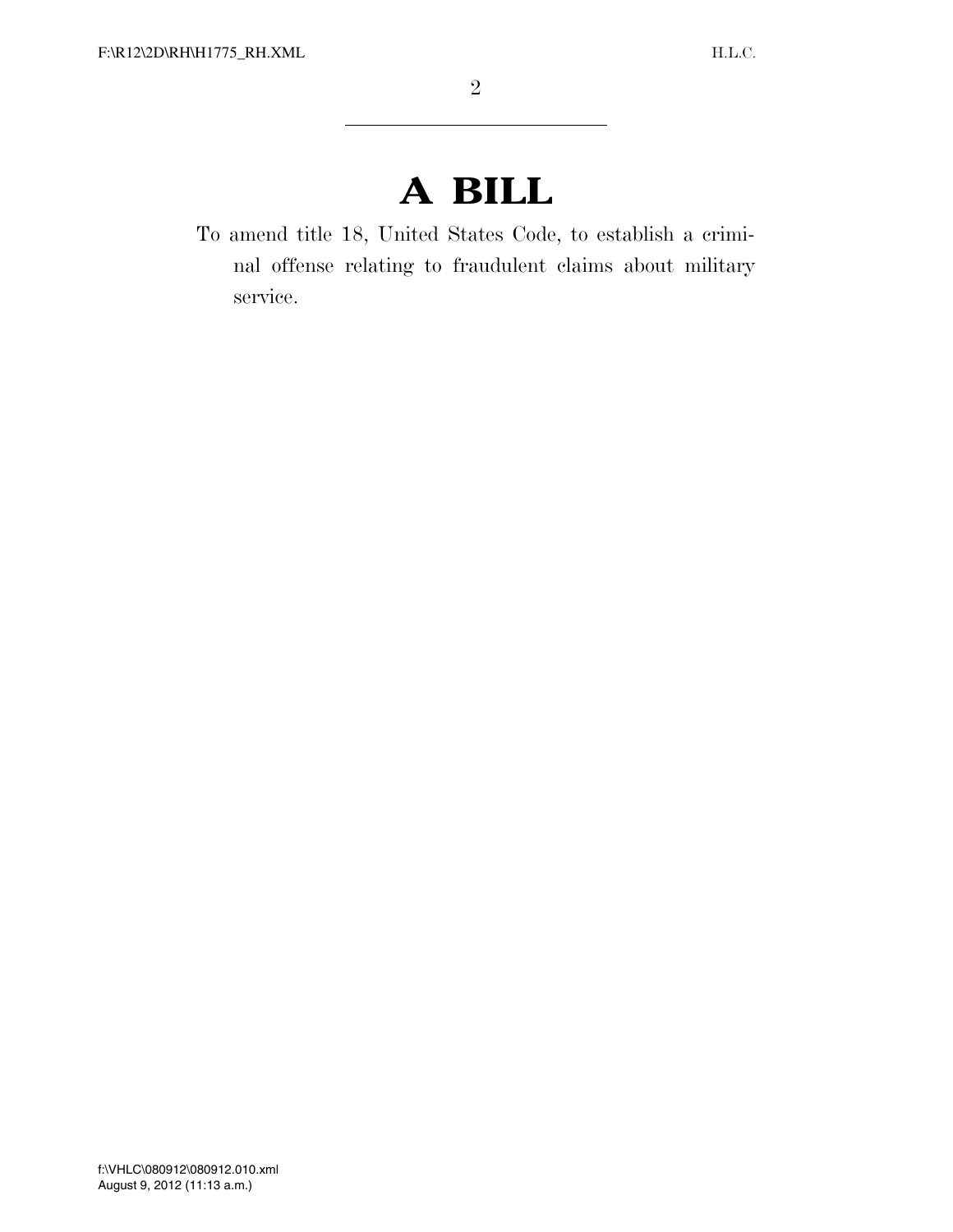## **A BILL**

To amend title 18, United States Code, to establish a criminal offense relating to fraudulent claims about military service.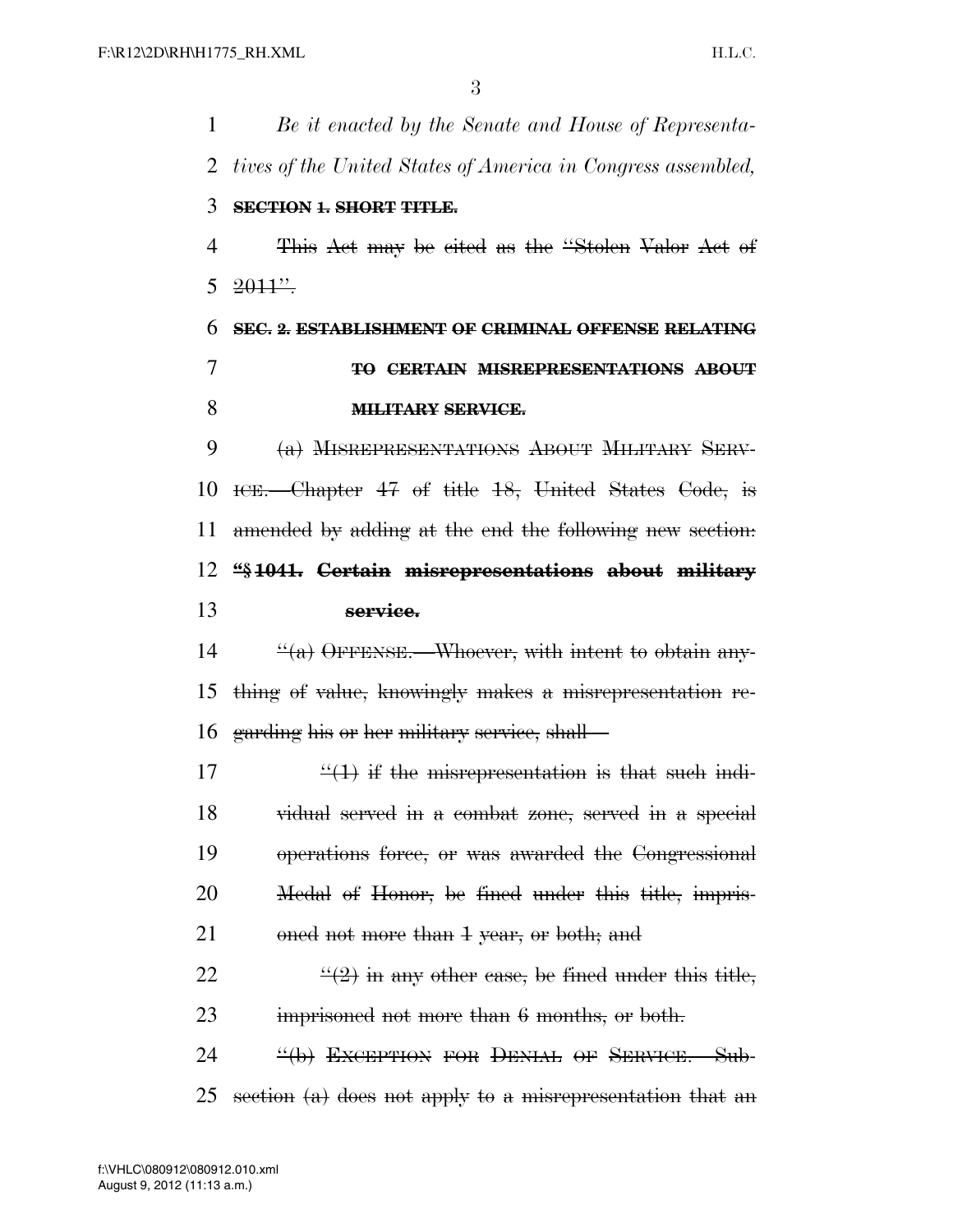*Be it enacted by the Senate and House of Representa- tives of the United States of America in Congress assembled,*  **SECTION 1. SHORT TITLE.**  This Act may be cited as the ''Stolen Valor Act of  $5 \frac{2011''}{.}$  **SEC. 2. ESTABLISHMENT OF CRIMINAL OFFENSE RELATING TO CERTAIN MISREPRESENTATIONS ABOUT MILITARY SERVICE.**  (a) MISREPRESENTATIONS ABOUT MILITARY SERV- ICE.—Chapter 47 of title 18, United States Code, is amended by adding at the end the following new section: **''§ 1041. Certain misrepresentations about military service.**   $\frac{u'(a)}{b^2}$  OFFENSE. Whoever, with intent to obtain any- thing of value, knowingly makes a misrepresentation re- garding his or her military service, shall—  $\frac{((1))}{(1)}$  if the misrepresentation is that such indi- vidual served in a combat zone, served in a special operations force, or was awarded the Congressional Medal of Honor, be fined under this title, impris-21 oned not more than 1 year, or both; and  $\frac{((2) \text{ in any other case, be fixed under this title,}}{}$ 23 imprisoned not more than 6 months, or both. 24 <sup>"</sup>(b) EXCEPTION FOR DENIAL OF SERVICE. Sub-25 section  $(a)$  does not apply to a misrepresentation that an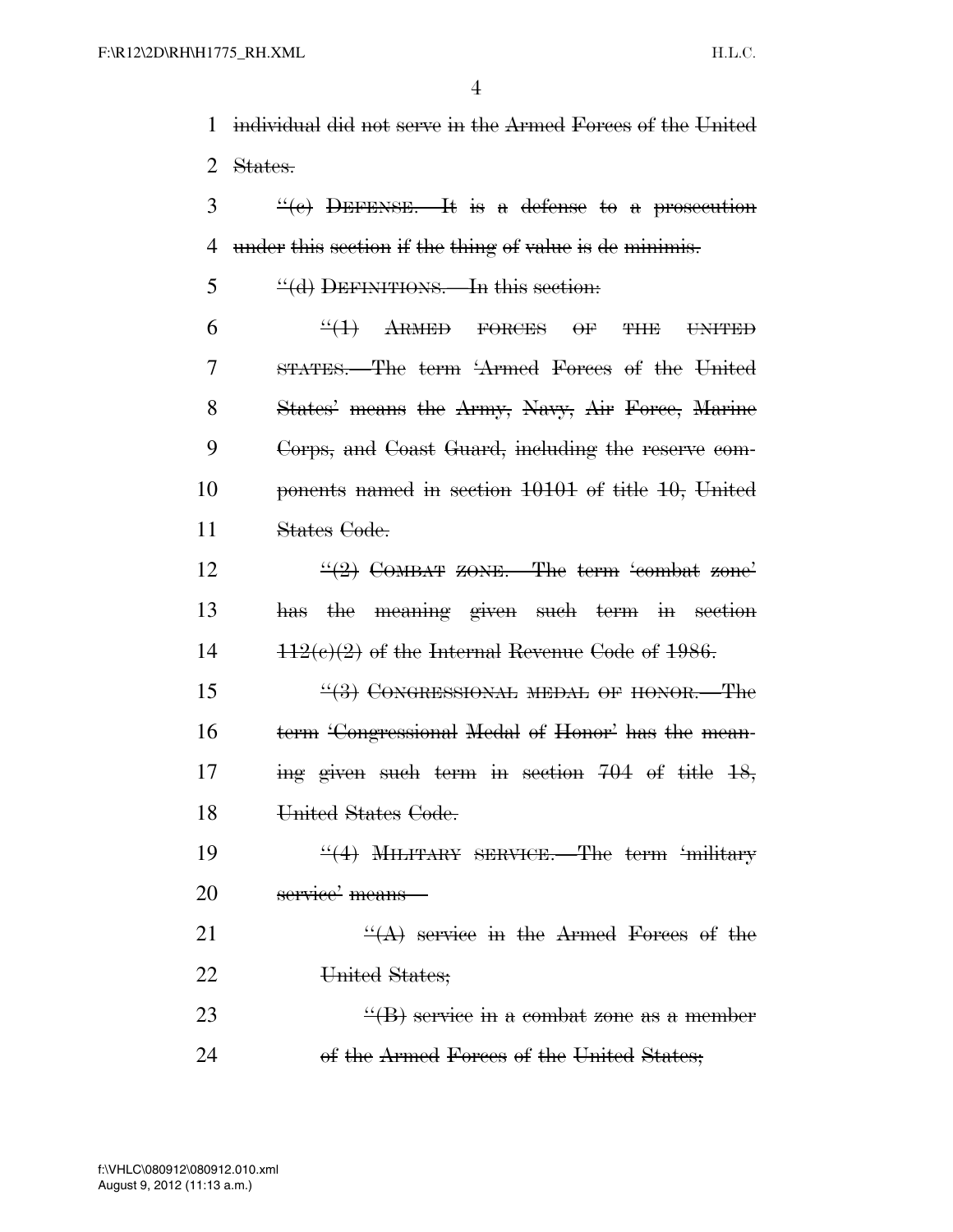1 individual did not serve in the Armed Forces of the United 2 States.

 $\frac{3}{2}$  ''(e) DEFENSE. It is a defense to a prosecution 4 under this section if the thing of value is de minimis.

5 "(d) DEFINITIONS.—In this section:

 ''(1) ARMED FORCES OF THE UNITED STATES.—The term 'Armed Forces of the United 8 States' means the Army, Navy, Air Force, Marine Corps, and Coast Guard, including the reserve com- ponents named in section 10101 of title 10, United States Code.

12  $\frac{((2)}{2}$  COMBAT ZONE. The term 'combat zone' 13 has the meaning given such term in section  $14 \qquad \qquad 112(e)(2)$  of the Internal Revenue Code of 1986.

15 "(3) CONGRESSIONAL MEDAL OF HONOR. The 16 term 'Congressional Medal of Honor' has the mean-17 ing given such term in section 704 of title 18, 18 United States Code.

19 ''(4) MILITARY SERVICE. The term 'military 20 service' means—

21  $\frac{4}{(A)}$  service in the Armed Forces of the 22 United States;

23  $\frac{4}{18}$  service in a combat zone as a member 24 of the Armed Forces of the United States;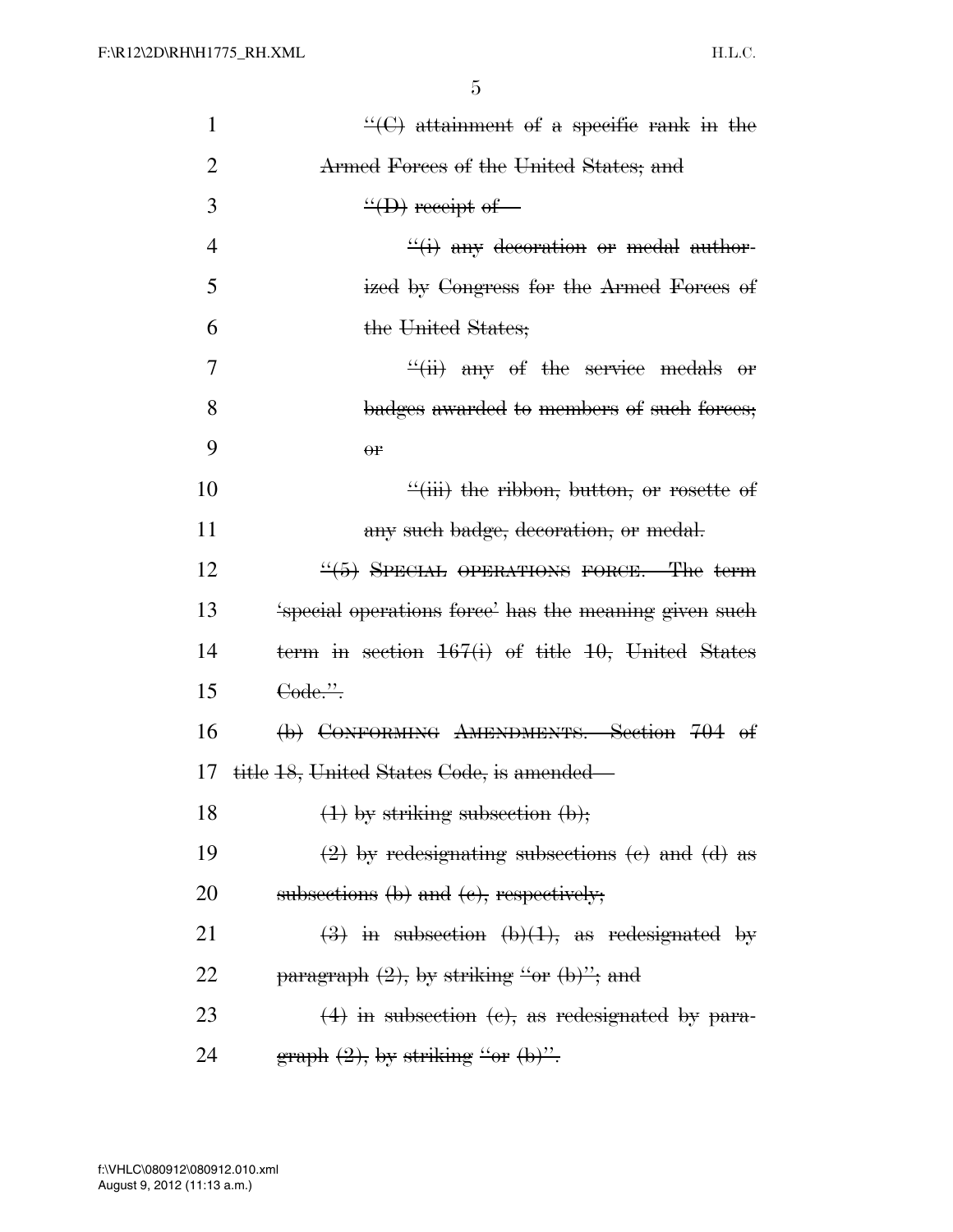| $\mathbf{1}$   | $\mathcal{L}(\mathcal{C})$ attainment of a specific rank in the                          |
|----------------|------------------------------------------------------------------------------------------|
| $\overline{2}$ | Armed Forces of the United States; and                                                   |
| 3              | $\frac{H}{H}$ receipt of                                                                 |
| $\overline{4}$ | $\frac{d}{dx}(i)$ any decoration or medal author-                                        |
| 5              | ized by Congress for the Armed Forces of                                                 |
| 6              | the United States;                                                                       |
| 7              | $\frac{f'(ii)}{i}$ any of the service medals or                                          |
| 8              | badges awarded to members of such forces;                                                |
| 9              | $\theta$ P                                                                               |
| 10             | $\frac{d}{dx}$ (iii) the ribbon, button, or rosette of                                   |
| 11             | any such badge, decoration, or medal.                                                    |
| 12             | $\frac{4}{5}$ SPECIAL OPERATIONS FORCE.—The term                                         |
| 13             | 'special operations force' has the meaning given such                                    |
| 14             | term in section $167(i)$ of title 10, United States                                      |
| 15             | Code.".                                                                                  |
| 16             | (b) CONFORMING AMENDMENTS. Section 704 of                                                |
| 17             | title 18, United States Code, is amended—                                                |
| 18             | $(1)$ by striking subsection $(b)$ ;                                                     |
| 19             | $(2)$ by redesignating subsections (e) and (d) as                                        |
| 20             | subsections $(b)$ and $(e)$ , respectively;                                              |
| 21             | $\left(\frac{3}{2}\right)$ in subsection $\left(\frac{b}{1}\right)$ , as redesignated by |
| 22             | $\frac{1}{2}$ paragraph (2), by striking "or (b)"; and                                   |
| 23             | $(4)$ in subsection (e), as redesignated by para-                                        |
| 24             | graph (2), by striking "or (b)".                                                         |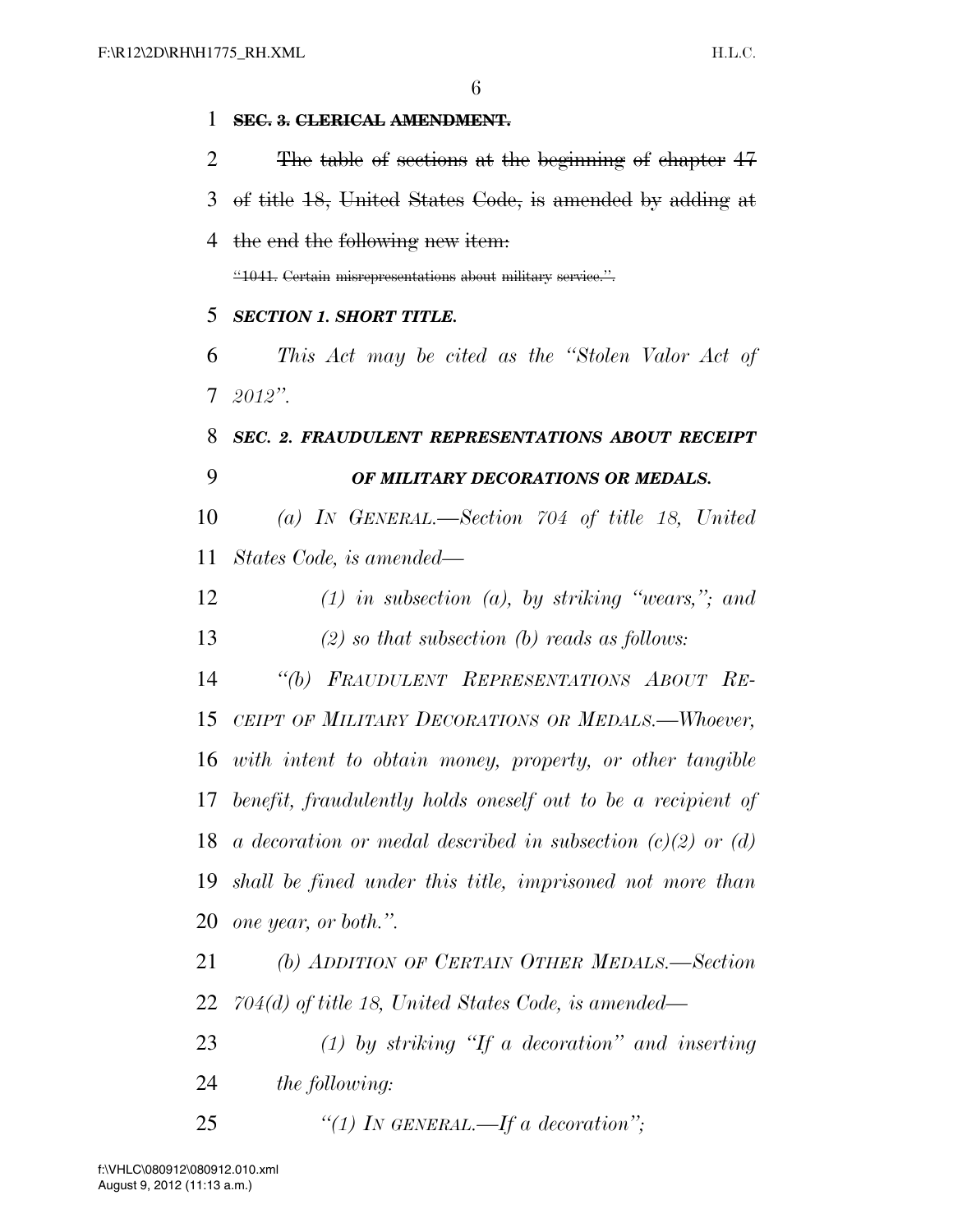| 1  | SEC. 3. CLERICAL AMENDMENT.                                     |
|----|-----------------------------------------------------------------|
| 2  | The table of sections at the beginning of chapter 47            |
| 3  | of title 18, United States Code, is amended by adding at        |
| 4  | the end the following new item:                                 |
|    | "1041. Certain misrepresentations about military service.".     |
| 5  | <b>SECTION 1. SHORT TITLE.</b>                                  |
| 6  | This Act may be cited as the "Stolen Valor Act of               |
|    | $7\;\;2012"$ .                                                  |
| 8  | SEC. 2. FRAUDULENT REPRESENTATIONS ABOUT RECEIPT                |
| 9  | OF MILITARY DECORATIONS OR MEDALS.                              |
| 10 | (a) IN GENERAL.—Section $704$ of title 18, United               |
| 11 | States Code, is amended—                                        |
| 12 | $(1)$ in subsection $(a)$ , by striking "wears,"; and           |
| 13 | $(2)$ so that subsection (b) reads as follows:                  |
| 14 | "(b) FRAUDULENT REPRESENTATIONS ABOUT RE-                       |
| 15 | CEIPT OF MILITARY DECORATIONS OR MEDALS.-Whoever,               |
|    | 16 with intent to obtain money, property, or other tangible     |
|    | 17 benefit, fraudulently holds oneself out to be a recipient of |
| 18 | a decoration or medal described in subsection $(c)(2)$ or $(d)$ |
| 19 | shall be fined under this title, imprisoned not more than       |
| 20 | one year, or both.".                                            |
| 21 | (b) ADDITION OF CERTAIN OTHER MEDALS.-Section                   |
| 22 | $704(d)$ of title 18, United States Code, is amended—           |
| 23 | $(1)$ by striking "If a decoration" and inserting               |
| 24 | the following:                                                  |
| 25 | "(1) IN GENERAL.—If a decoration";                              |